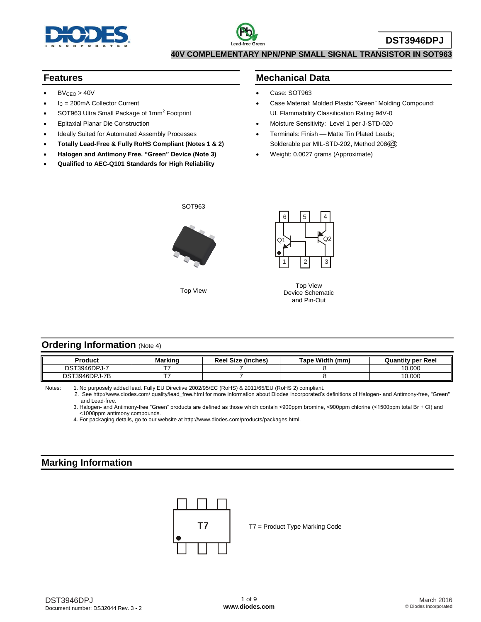

#### **Features**

- $BV<sub>CEO</sub> > 40V$
- I<sup>C</sup> = 200mA Collector Current
- $\bullet$  SOT963 Ultra Small Package of 1mm<sup>2</sup> Footprint
- Epitaxial Planar Die Construction
- Ideally Suited for Automated Assembly Processes
- **Totally Lead-Free & Fully RoHS Compliant (Notes 1 & 2)**
- **Halogen and Antimony Free. "Green" Device (Note 3)**
- **Qualified to AEC-Q101 Standards for High Reliability**

#### **Mechanical Data**

- Case: SOT963
- Case Material: Molded Plastic "Green" Molding Compound; UL Flammability Classification Rating 94V-0
- Moisture Sensitivity: Level 1 per J-STD-020
- Terminals: Finish Matte Tin Plated Leads; Solderable per MIL-STD-202, Method 208 **e3**
- Weight: 0.0027 grams (Approximate)



Top View



Top View Device Schematic and Pin-Out

#### **Ordering Information (Note 4)**

| Product       | <b>Marking</b> | <b>Reel Size (inches)</b> | Tape Width (mm) | <b>Quantity per Reel</b> |
|---------------|----------------|---------------------------|-----------------|--------------------------|
| DST3946DPJ-7  | --             |                           |                 | 10.000                   |
| DST3946DPJ-7B |                |                           |                 | 10.000                   |

Notes: 1. No purposely added lead. Fully EU Directive 2002/95/EC (RoHS) & 2011/65/EU (RoHS 2) compliant.

 2. See <http://www.diodes.com/> quality/lead\_free.html for more information about Diodes Incorporated's definitions of Halogen- and Antimony-free, "Green" and Lead-free.

3. Halogen- and Antimony-free "Green" products are defined as those which contain <900ppm bromine, <900ppm chlorine (<1500ppm total Br + Cl) and <1000ppm antimony compounds.

4. For packaging details, go to our website at [http://www.diodes.com/products/packages.html.](http://www.diodes.com/products/packages.html)

#### **Marking Information**

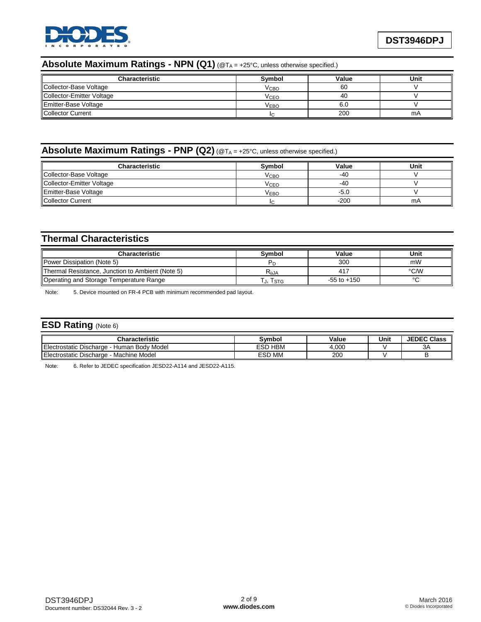

#### **Absolute Maximum Ratings - NPN (Q1)** (@T<sup>A</sup> = +25°C, unless otherwise specified.)

| <b>Characteristic</b>       | Symbol | Value | Unit |
|-----------------------------|--------|-------|------|
| Collector-Base Voltage      | Vсво   | 60    |      |
| Collector-Emitter Voltage   | Vсєо   | 40    |      |
| <b>Emitter-Base Voltage</b> | Vево   | -6.C  |      |
| <b>I</b> Collector Current  |        | 200   | mA   |

## **Absolute Maximum Ratings - PNP (Q2)** (@T<sup>A</sup> = +25°C, unless otherwise specified.)

| <b>Characteristic</b>      | Symbol           | Value  | Unit |
|----------------------------|------------------|--------|------|
| Collector-Base Voltage     | Vсво             | $-40$  |      |
| Collector-Emitter Voltage  | Vсео             | -40    |      |
| Emitter-Base Voltage       | V <sub>EBO</sub> | -5.0   |      |
| <b>I</b> Collector Current |                  | $-200$ | mA   |

#### **Thermal Characteristics**

| <b>Characteristic</b>                            | Symbol                      | Value           | Unit   |
|--------------------------------------------------|-----------------------------|-----------------|--------|
| Power Dissipation (Note 5)                       |                             | 300             | mW     |
| Thermal Resistance, Junction to Ambient (Note 5) | $\mathsf{R}_{\mathsf{AJA}}$ | 417             | °C/W   |
| Operating and Storage Temperature Range          | J, ISTG                     | $-55$ to $+150$ | $\sim$ |

Note: 5. Device mounted on FR-4 PCB with minimum recommended pad layout.

### **ESD Rating** (Note 6)

| Characteristic                                             | Svmbol            | Value | Unit | <b>JEDEC Class</b> |
|------------------------------------------------------------|-------------------|-------|------|--------------------|
| า Bodv Model<br>Electrostatic Discharge ·<br>Human.<br>--- | <b>HBM</b><br>ESD | 4,000 |      | 3A                 |
| Machine Model<br>Electrostatic Discharge                   | <b>ESD MM</b>     | 200   |      |                    |

Note: 6. Refer to JEDEC specification JESD22-A114 and JESD22-A115.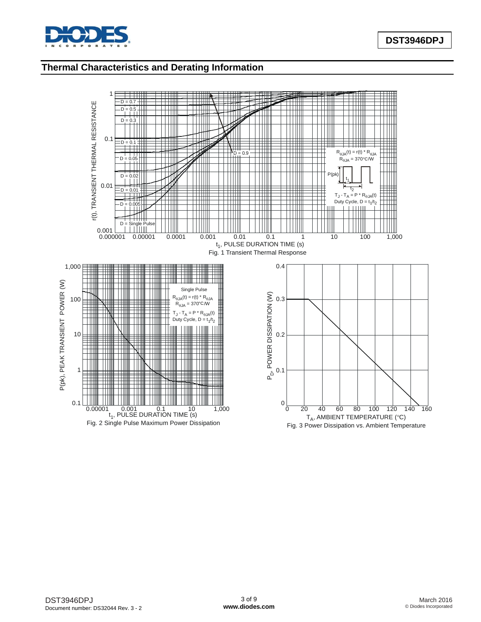

## **Thermal Characteristics and Derating Information**

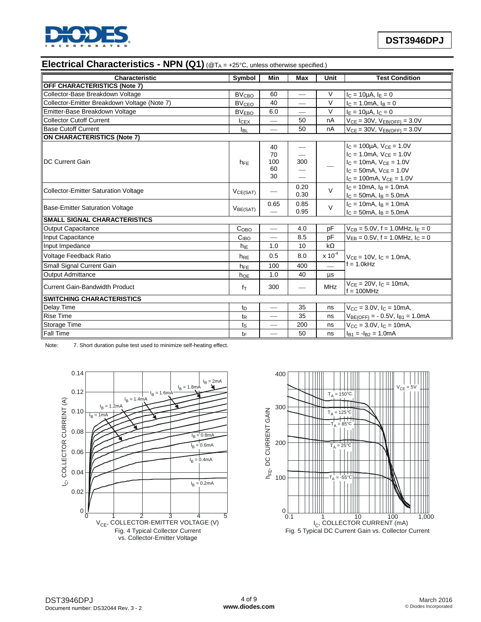

## **Electrical Characteristics - NPN (Q1)** (@T<sup>A</sup> = +25°C, unless otherwise specified.)

| Characteristic                               | Symbol                  | Min                           | <b>Max</b>      | Unit                     | <b>Test Condition</b>                            |  |
|----------------------------------------------|-------------------------|-------------------------------|-----------------|--------------------------|--------------------------------------------------|--|
| <b>OFF CHARACTERISTICS (Note 7)</b>          |                         |                               |                 |                          |                                                  |  |
| Collector-Base Breakdown Voltage             | <b>BV<sub>CBO</sub></b> | 60                            | $\qquad \qquad$ | $\vee$                   | $I_C = 10 \mu A$ , $I_E = 0$                     |  |
| Collector-Emitter Breakdown Voltage (Note 7) | <b>BV<sub>CEO</sub></b> | 40                            |                 | $\vee$                   | $I_C = 1.0 \text{mA}, I_B = 0$                   |  |
| Emitter-Base Breakdown Voltage               | <b>BVEBO</b>            | 6.0                           |                 | $\vee$                   | $I_E = 10 \mu A$ , $I_C = 0$                     |  |
| Collector Cutoff Current                     | <b>ICEX</b>             | $\overbrace{\phantom{12333}}$ | 50              | nA                       | $V_{CE} = 30V$ , $V_{EB(OFF)} = 3.0V$            |  |
| <b>Base Cutoff Current</b>                   | <b>I</b> BL             | $\overline{\phantom{0}}$      | 50              | nA                       | $V_{CE} = 30V$ , $V_{EB(OFF)} = 3.0V$            |  |
| ON CHARACTERISTICS (Note 7)                  |                         |                               |                 |                          |                                                  |  |
|                                              |                         | 40                            |                 |                          | $I_C = 100 \mu A$ , $V_{CF} = 1.0 V$             |  |
|                                              |                         | 70                            |                 |                          | $I_C = 1.0$ mA, $V_{CE} = 1.0V$                  |  |
| <b>IDC Current Gain</b>                      | $h_{FE}$                | 100                           | 300             |                          | $I_C = 10mA$ , $V_{CE} = 1.0V$                   |  |
|                                              |                         | 60                            |                 |                          | $I_C = 50$ mA, $V_{CF} = 1.0V$                   |  |
|                                              |                         | 30                            |                 |                          | $I_C = 100mA$ , $V_{CE} = 1.0V$                  |  |
| Collector-Emitter Saturation Voltage         |                         | $\overline{\phantom{0}}$      | 0.20            | $\vee$                   | $I_C = 10mA$ , $I_B = 1.0mA$                     |  |
|                                              | VCE(SAT)                |                               | 0.30            |                          | $I_C = 50mA$ , $I_B = 5.0mA$                     |  |
| <b>Base-Emitter Saturation Voltage</b>       | V <sub>BE(SAT)</sub>    | 0.65                          | 0.85            | $\vee$                   | $I_C = 10mA$ , $I_B = 1.0mA$                     |  |
|                                              |                         |                               | 0.95            |                          | $I_C = 50mA$ , $I_B = 5.0mA$                     |  |
| <b>SMALL SIGNAL CHARACTERISTICS</b>          |                         |                               |                 |                          |                                                  |  |
| Output Capacitance                           | C <sub>OBO</sub>        |                               | 4.0             | pF                       | $V_{CB} = 5.0V$ , f = 1.0MHz, $I_E = 0$          |  |
| Input Capacitance                            | C <sub>IBO</sub>        | $\overline{\phantom{0}}$      | 8.5             | pF                       | $V_{EB} = 0.5V$ , f = 1.0MHz, $I_C = 0$          |  |
| Input Impedance                              | $h_{IE}$                | 1.0                           | 10              | $k\Omega$                |                                                  |  |
| Voltage Feedback Ratio                       | h <sub>RE</sub>         | 0.5                           | 8.0             | $x 10^{-4}$              | $V_{CF} = 10V$ , $I_C = 1.0mA$ ,                 |  |
| Small Signal Current Gain                    | h <sub>FE</sub>         | 100                           | 400             | $\overline{\phantom{0}}$ | $f = 1.0kHz$                                     |  |
| Output Admittance                            | hoe                     | 1.0                           | 40              | μs                       |                                                  |  |
| Current Gain-Bandwidth Product               | $f_T$                   | 300                           |                 | <b>MHz</b>               | $V_{CE} = 20V$ , $I_C = 10mA$ ,<br>$f = 100$ MHz |  |
| <b>ISWITCHING CHARACTERISTICS</b>            |                         |                               |                 |                          |                                                  |  |
| <b>Delay Time</b>                            | $t_{D}$                 | $\overline{\phantom{0}}$      | 35              | ns                       | $V_{\rm CC} = 3.0 V$ , $I_{\rm C} = 10$ mA,      |  |
| <b>Rise Time</b>                             | $t_{\mathsf{R}}$        |                               | 35              | ns                       | $V_{BE(OFF)} = -0.5V, I_{B1} = 1.0mA$            |  |
| Storage Time                                 | $t_{\rm S}$             |                               | 200             | ns                       | $V_{\rm CC} = 3.0 V, I_{\rm C} = 10$ mA,         |  |
| <b>Fall Time</b>                             | tF                      |                               | 50              | ns                       | $I_{B1} = -I_{B2} = 1.0 \text{mA}$               |  |

Note: 7. Short duration pulse test used to minimize self-heating effect.



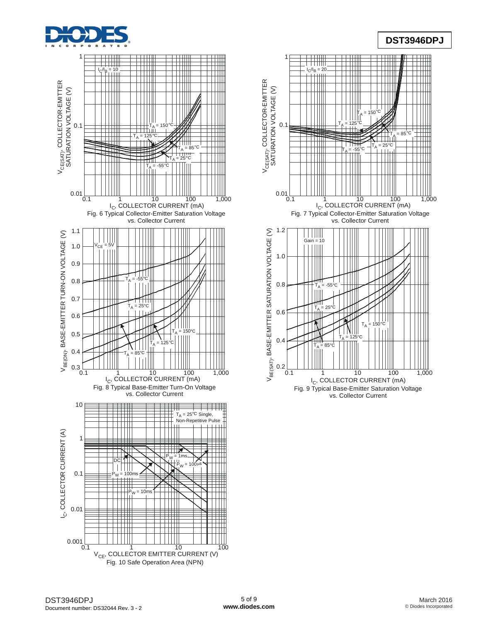

# **DST3946DPJ**



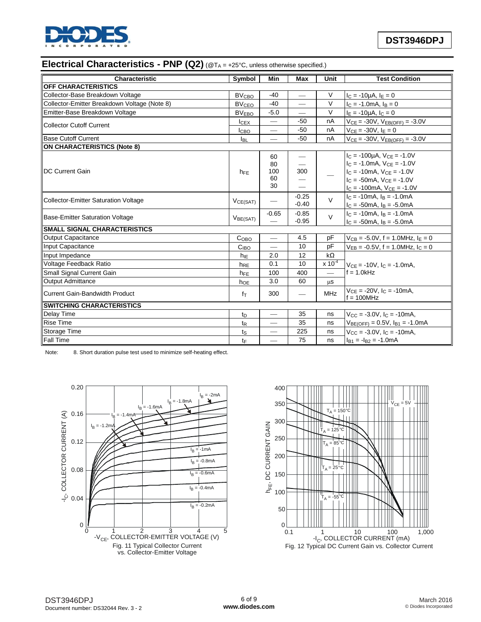

# **Electrical Characteristics - PNP (Q2)** (@T<sup>A</sup> = +25°C, unless otherwise specified.)

| <b>Characteristic</b>                        | Symbol                  | Min                      | <b>Max</b>               | Unit                           | <b>Test Condition</b>                              |
|----------------------------------------------|-------------------------|--------------------------|--------------------------|--------------------------------|----------------------------------------------------|
| <b>OFF CHARACTERISTICS</b>                   |                         |                          |                          |                                |                                                    |
| Collector-Base Breakdown Voltage             | <b>BV<sub>CBO</sub></b> | $-40$                    |                          | V                              | $I_C = -10\mu A$ , $I_E = 0$                       |
| Collector-Emitter Breakdown Voltage (Note 8) | <b>BV<sub>CEO</sub></b> | $-40$                    |                          | $\vee$                         | $I_C = -1.0 \text{mA}$ , $I_B = 0$                 |
| Emitter-Base Breakdown Voltage               | <b>BVEBO</b>            | $-5.0$                   | $\overline{\phantom{0}}$ | $\vee$                         | $I_F = -10\mu A$ , $I_C = 0$                       |
| Collector Cutoff Current                     | $I_{CEX}$               |                          | $-50$                    | nA                             | $V_{CE} = -30V$ , $V_{EB(OFF)} = -3.0V$            |
|                                              | Iсво                    | $\overline{\phantom{0}}$ | $-50$                    | nA                             | $VCF = -30V$ , $F = 0$                             |
| <b>Base Cutoff Current</b>                   | <b>I</b> BL             | $\overline{\phantom{0}}$ | $-50$                    | nA                             | $V_{CE} = -30V$ , $V_{EB(OFF)} = -3.0V$            |
| ON CHARACTERISTICS (Note 8)                  |                         |                          |                          |                                |                                                    |
|                                              |                         | 60                       |                          |                                | $I_C = -100\mu A$ , $V_{CE} = -1.0V$               |
|                                              |                         | 80                       |                          |                                | $I_C = -1.0mA$ , $V_{CE} = -1.0V$                  |
| <b>IDC Current Gain</b>                      | $h_{FE}$                | 100                      | 300                      |                                | $IC = -10mA$ , $VCE = -1.0V$                       |
|                                              |                         | 60                       |                          |                                | $IC$ = -50mA, $VCF$ = -1.0V                        |
|                                              |                         | 30                       | $\overline{\phantom{0}}$ |                                | $I_C = -100mA$ , $V_{CE} = -1.0V$                  |
| Collector-Emitter Saturation Voltage         | $V_{CE(SAT)}$           | $-0.25$                  | $\vee$                   | $I_C = -10mA$ , $I_B = -1.0mA$ |                                                    |
|                                              |                         |                          | $-0.40$                  |                                | $I_C = -50mA$ , $I_B = -5.0mA$                     |
| <b>Base-Emitter Saturation Voltage</b>       |                         | $-0.65$                  | $-0.85$                  | $\vee$                         | $c = -10mA$ . $a = -1.0mA$                         |
|                                              | V <sub>BE(SAT)</sub>    |                          | $-0.95$                  |                                | $I_C = -50$ mA, $I_B = -5.0$ mA                    |
| <b>SMALL SIGNAL CHARACTERISTICS</b>          |                         |                          |                          |                                |                                                    |
| Output Capacitance                           | C <sub>OBO</sub>        | $\overline{\phantom{0}}$ | 4.5                      | pF                             | $V_{CB} = -5.0V$ , f = 1.0MHz, $I_E = 0$           |
| Input Capacitance                            | C <sub>IBO</sub>        | $\overline{\phantom{0}}$ | 10                       | pF                             | $V_{EB} = -0.5V$ , f = 1.0MHz, $I_C = 0$           |
| Input Impedance                              | $h_{IE}$                | 2.0                      | 12                       | $k\Omega$                      |                                                    |
| Voltage Feedback Ratio                       | $h_{RE}$                | 0.1                      | 10                       | $x 10^{-4}$                    | $V_{CE} = -10V$ , $I_C = -1.0mA$ ,                 |
| Small Signal Current Gain                    | h <sub>FE</sub>         | 100                      | 400                      | $\qquad \qquad$                | $f = 1.0kHz$                                       |
| Output Admittance                            | hoe                     | 3.0                      | 60                       | $\mu$ s                        |                                                    |
| Current Gain-Bandwidth Product               | $f_{\text{T}}$          | 300                      |                          | <b>MHz</b>                     | $V_{CF} = -20V$ , $I_C = -10mA$ ,<br>$f = 100$ MHz |
| <b>ISWITCHING CHARACTERISTICS</b>            |                         |                          |                          |                                |                                                    |
| Delay Time                                   | t <sub>D</sub>          |                          | 35                       | ns                             | $V_{CC} = -3.0V$ , $I_C = -10mA$ .                 |
| <b>Rise Time</b>                             | $t_{\mathsf{R}}$        |                          | 35                       | ns                             | $V_{BE(OFF)} = 0.5V$ , $I_{B1} = -1.0mA$           |
| Storage Time                                 | ts                      |                          | 225                      | ns                             | $V_{\text{CC}} = -3.0V$ , $I_{\text{C}} = -10$ mA. |
| <b>Fall Time</b>                             | tF                      | $\overline{\phantom{0}}$ | 75                       | ns                             | $I_{B1} = -I_{B2} = -1.0 \text{mA}$                |

Note: 8. Short duration pulse test used to minimize self-heating effect.



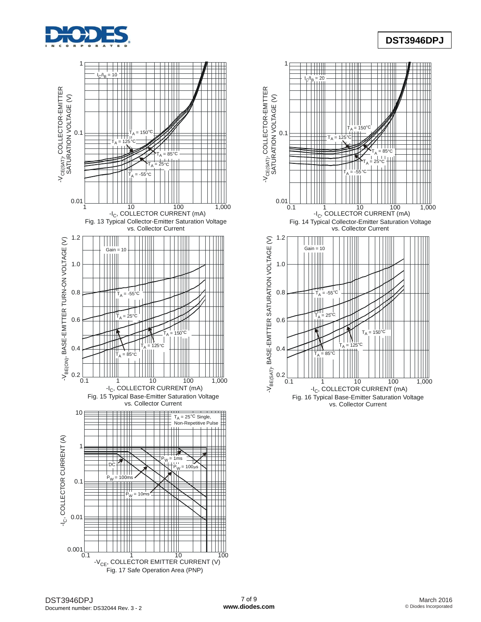

# **DST3946DPJ**



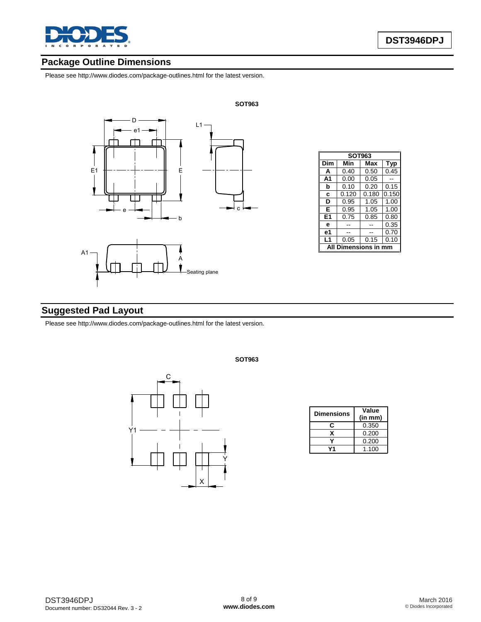

# **Package Outline Dimensions**

Please see <http://www.diodes.com/package-outlines.html> for the latest version.



| <b>SOT963</b>      |       |       |       |  |  |  |
|--------------------|-------|-------|-------|--|--|--|
| Dim                | Min   | Max   | Typ   |  |  |  |
| A                  | 0.40  | 0.50  | 0.45  |  |  |  |
| A <sub>1</sub>     | 0.00  | 0.05  |       |  |  |  |
| b                  | 0.10  | 0.20  | 0.15  |  |  |  |
| C                  | 0.120 | 0.180 | 0.150 |  |  |  |
| D                  | 0.95  | 1.05  | 1.00  |  |  |  |
| Е                  | 0.95  | 1.05  | 1.00  |  |  |  |
| E1                 | 0.75  | 0.85  | 0.80  |  |  |  |
| e                  |       |       | 0.35  |  |  |  |
| е1                 |       |       | 0.70  |  |  |  |
| L1                 | 0.05  | 0.15  | 0.10  |  |  |  |
| mensions in<br>Dil |       |       |       |  |  |  |

# **Suggested Pad Layout**

Please see <http://www.diodes.com/package-outlines.html> for the latest version.



**SOT963**

| <b>Dimensions</b> | Value                |  |  |  |
|-------------------|----------------------|--|--|--|
|                   | (in m <sub>m</sub> ) |  |  |  |
| r:                | 0.350                |  |  |  |
|                   | 0.200                |  |  |  |
|                   | 0.200                |  |  |  |
|                   | 1.100                |  |  |  |